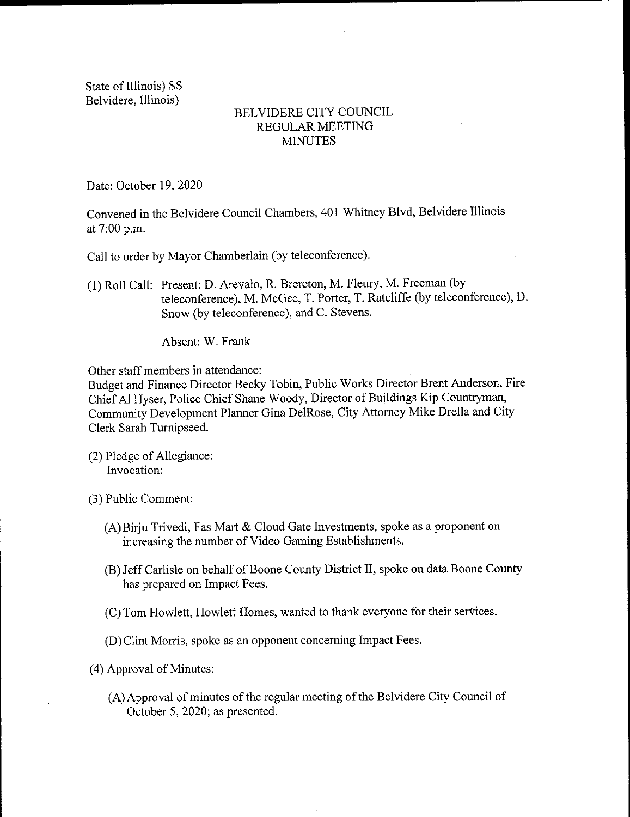State of Illinois) SS Belvidere, Illinois)

## BELVIDERE CITY COUNCIL REGULAR MEETING **MINUTES**

Date: October 19, 2020

Convened in the Belvidere Council Chambers, 401 Whitney Blvd, Belvidere Illinois at 7:00 p.m.

Call to order by Mayor Chamberlain (by teleconference).

1) Roll Call: Present: D. Arevalo, R. Brereton, M. Fleury, M. Freeman ( by teleconference), M. McGee, T. Porter, T. Ratcliffe (by teleconference), D. Snow( by teleconference), and C. Stevens.

Absent: W. Frank

Other staff members in attendance:

Budget and Finance Director Becky Tobin, Public Works Director Brent Anderson, Fire Chief Al Hyser, Police Chief Shane Woody, Director of Buildings Kip Countryman, Community Development Planner Gina DeIRose, City Attorney Mike Drella and City Clerk Sarah Turnipseed.

2) Pledge of Allegiance: Invocation:

3) Public Comment:

- A) Birju Trivedi, Fas Mart & Cloud Gate Investments, spoke as <sup>a</sup> proponent on increasing the number of Video Gaming Establishments.
- B) Jeff Carlisle on behalf of Boone County District II, spoke on data Boone County has prepared on Impact Fees.
- C) Tom Howlett, Howlett Homes, wanted to thank everyone for their services.
- D) Clint Morris, spoke as an opponent concerning Impact Fees.

4) Approval of Minutes:

A)Approval of minutes of the regular meeting of the Belvidere City Council of October 5, 2020; as presented.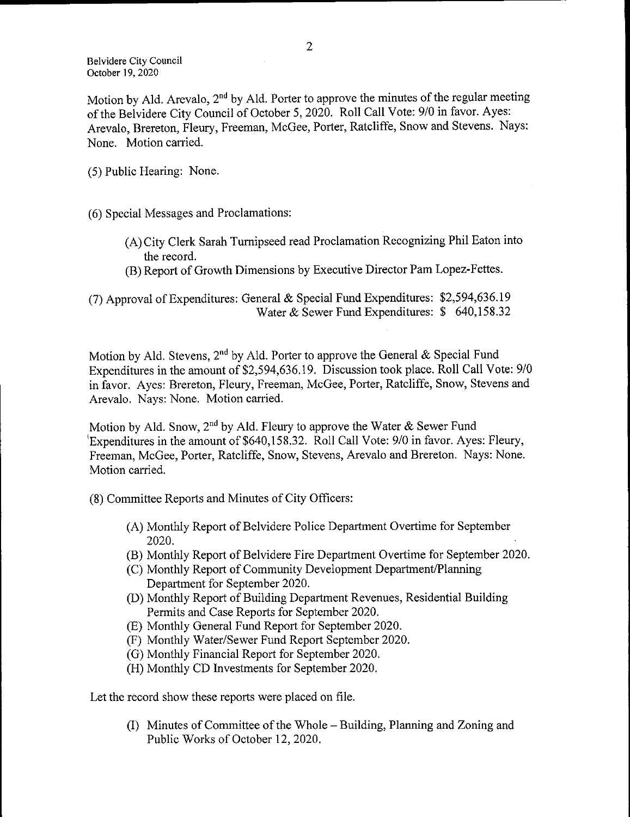Motion by Ald. Arevalo, 2<sup>nd</sup> by Ald. Porter to approve the minutes of the regular meeting of the Belvidere City Council of October 5, 2020. Roll Call Vote: 9/0 in favor. Ayes: Arevalo, Brereton, Fleury, Freeman, McGee, Porter, Ratcliffe, Snow and Stevens. Nays: None. Motion carried.

5) Public Hearing: None.

6) Special Messages and Proclamations:

- A) City Clerk Sarah Turnipseed read Proclamation Recognizing Phil Eaton into the record.
- B) Report of Growth Dimensions by Executive Director Pam Lopez- Fettes.

(7) Approval of Expenditures: General & Special Fund Expenditures: \$2,594,636.19 Water & Sewer Fund Expenditures: \$ 640,158.32

Motion by Ald. Stevens, 2<sup>nd</sup> by Ald. Porter to approve the General & Special Fund Expenditures in the amount of \$2,594, 636. 19. Discussion took place. Roll Call Vote: 9/0 in favor. Ayes: Brereton, Fleury, Freeman, McGee, Porter, Ratcliffe, Snow, Stevens and Arevalo. Nays: None. Motion carried.

Motion by Ald. Snow, 2<sup>nd</sup> by Ald. Fleury to approve the Water & Sewer Fund Expenditures in the amount of  $$640,158.32$ . Roll Call Vote: 9/0 in favor. Ayes: Fleury, Freeman, McGee, Porter, Ratcliffe, Snow, Stevens, Arevalo and Brereton. Nays: None. Motion carried.

8) Committee Reports and Minutes of City Officers:

- A) Monthly Report of Belvidere Police Department Overtime for September 2020.
- B) Monthly Report of Belvidere Fire Department Overtime for September 2020.
- (C) Monthly Report of Community Development Department/Planning Department for September 2020.
- D) Monthly Report of Building Department Revenues, Residential Building Permits and Case Reports for September 2020.
- E) Monthly General Fund Report for September 2020.
- F) Monthly Water/Sewer Fund Report September 2020.
- G) Monthly Financial Report for September 2020.
- H) Monthly CD Investments for September 2020.

Let the record show these reports were placed on file.

1) Minutes of Committee of the Whole— Building, Planning and Zoning and Public Works of October 12, 2020.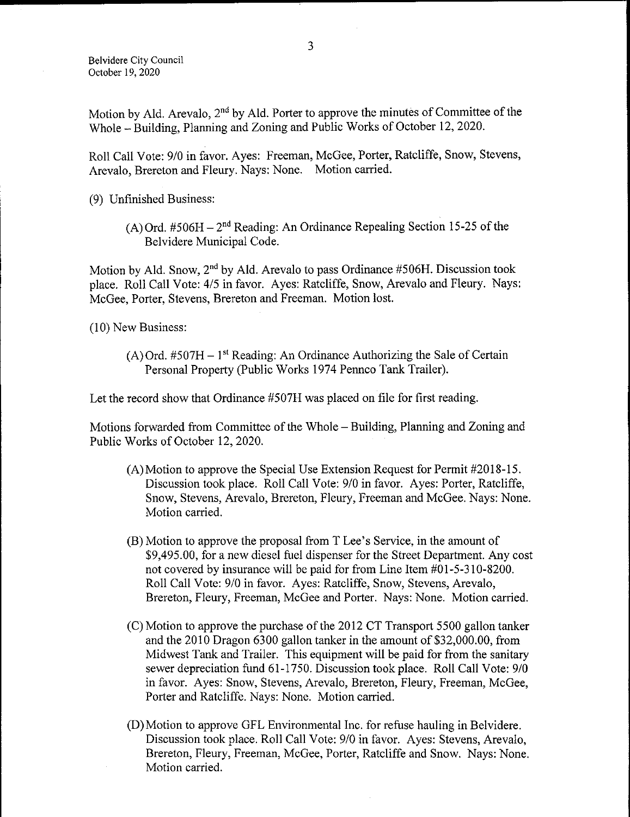Motion by Ald. Arevalo,  $2<sup>nd</sup>$  by Ald. Porter to approve the minutes of Committee of the Whole— Building, Planning and Zoning and Public Works of October 12, 2020.

Roll Call Vote: 9/0 in favor. Ayes: Freeman, McGee, Porter, Ratcliffe, Snow, Stevens, Arevalo, Brereton and Fleury. Nays: None. Motion carried.

9) Unfinished Business:

(A) Ord.  $#506H - 2^{nd}$  Reading: An Ordinance Repealing Section 15-25 of the Belvidere Municipal Code.

Motion by Ald. Snow,  $2<sup>nd</sup>$  by Ald. Arevalo to pass Ordinance #506H. Discussion took place. Roll Call Vote: 4/5 in favor. Ayes: Ratcliffe, Snow, Arevalo and Fleury. Nays: McGee, Porter, Stevens, Brereton and Freeman. Motion lost.

10) New Business:

 $(A)$  Ord. #507H – 1<sup>st</sup> Reading: An Ordinance Authorizing the Sale of Certain Personal Property (Public Works 1974 Pennco Tank Trailer).

Let the record show that Ordinance # 507H was placed on file for first reading.

Motions forwarded from Committee of the Whole— Building, Planning and Zoning and Public Works of October 12, 2020.

- $(A)$  Motion to approve the Special Use Extension Request for Permit #2018-15. Discussion took place. Roll Call Vote: 9/0 in favor. Ayes: Porter, Ratcliffe, Snow, Stevens, Arevalo, Brereton, Fleury, Freeman and McGee. Nays: None. Motion carried.
- B) Motion to approve the proposal from T Lee' <sup>s</sup> Service, in the amount of 9, 495. 00, for a new diesel fuel dispenser for the Street Department. Any cost not covered by insurance will be paid for from Line Item #01-5-310-8200. Roll Call Vote: 9/0 in favor. Ayes: Ratcliffe, Snow, Stevens, Arevalo, Brereton, Fleury, Freeman, McGee and Porter. Nays: None. Motion carried.
- C) Motion to approve the purchase of the 2012 CT Transport 5500 gallon tanker and the 2010 Dragon 6300 gallon tanker in the amount of \$32,000.00, from Midwest Tank and Trailer. This equipment will be paid for from the sanitary sewer depreciation fund 61-1750. Discussion took place. Roll Call Vote: 9/0 in favor. Ayes: Snow, Stevens, Arevalo, Brereton, Fleury, Freeman, McGee, Porter and Ratcliffe. Nays: None. Motion carried.
- D) Motion to approve GFL Environmental Inc. for refuse hauling in Belvidere. Discussion took place. Roll Call Vote: 9/0 in favor. Ayes: Stevens, Arevalo, Brereton, Fleury, Freeman, McGee, Porter, Ratcliffe and Snow. Nays: None. Motion carried.